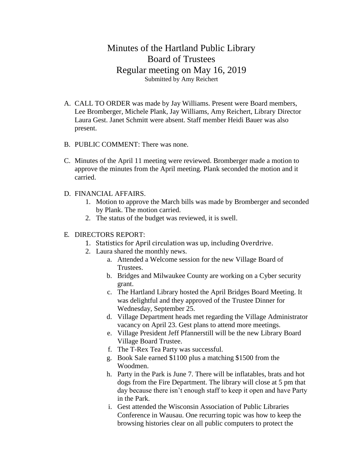## Minutes of the Hartland Public Library Board of Trustees Regular meeting on May 16, 2019 Submitted by Amy Reichert

- A. CALL TO ORDER was made by Jay Williams. Present were Board members, Lee Bromberger, Michele Plank, Jay Williams, Amy Reichert, Library Director Laura Gest. Janet Schmitt were absent. Staff member Heidi Bauer was also present.
- B. PUBLIC COMMENT: There was none.
- C. Minutes of the April 11 meeting were reviewed. Bromberger made a motion to approve the minutes from the April meeting. Plank seconded the motion and it carried.
- D. FINANCIAL AFFAIRS.
	- 1. Motion to approve the March bills was made by Bromberger and seconded by Plank. The motion carried.
	- 2. The status of the budget was reviewed, it is swell.
- E. DIRECTORS REPORT:
	- 1. Statistics for April circulation was up, including Overdrive.
	- 2. Laura shared the monthly news.
		- a. Attended a Welcome session for the new Village Board of Trustees.
		- b. Bridges and Milwaukee County are working on a Cyber security grant.
		- c. The Hartland Library hosted the April Bridges Board Meeting. It was delightful and they approved of the Trustee Dinner for Wednesday, September 25.
		- d. Village Department heads met regarding the Village Administrator vacancy on April 23. Gest plans to attend more meetings.
		- e. Village President Jeff Pfannerstill will be the new Library Board Village Board Trustee.
		- f. The T-Rex Tea Party was successful.
		- g. Book Sale earned \$1100 plus a matching \$1500 from the Woodmen.
		- h. Party in the Park is June 7. There will be inflatables, brats and hot dogs from the Fire Department. The library will close at 5 pm that day because there isn't enough staff to keep it open and have Party in the Park.
		- i. Gest attended the Wisconsin Association of Public Libraries Conference in Wausau. One recurring topic was how to keep the browsing histories clear on all public computers to protect the